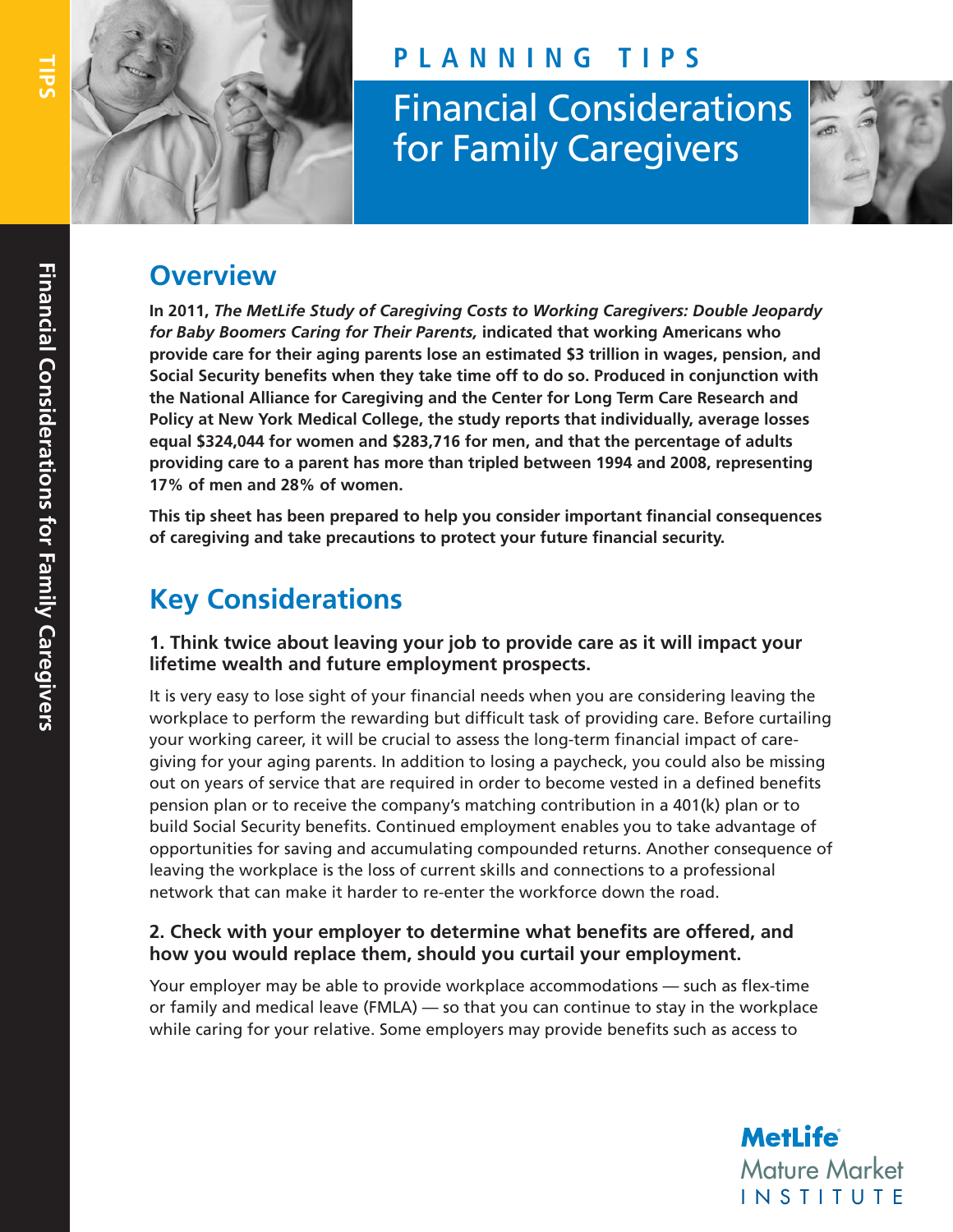

## **PLANNING TIPS**

Financial Considerations for Family Caregivers

## **Overview**

**In 2011,** *The MetLife Study of Caregiving Costs to Working Caregivers: Double Jeopardy for Baby Boomers Caring for Their Parents,* **indicated that working Americans who provide care for their aging parents lose an estimated \$3 trillion in wages, pension, and Social Security benefits when they take time off to do so. Produced in conjunction with the National Alliance for Caregiving and the Center for Long Term Care Research and Policy at New York Medical College, the study reports that individually, average losses equal \$324,044 for women and \$283,716 for men, and that the percentage of adults providing care to a parent has more than tripled between 1994 and 2008, representing 17% of men and 28% of women.** 

**This tip sheet has been prepared to help you consider important financial consequences of caregiving and take precautions to protect your future financial security.**

# **Key Considerations**

#### **1. Think twice about leaving your job to provide care as it will impact your lifetime wealth and future employment prospects.**

It is very easy to lose sight of your financial needs when you are considering leaving the workplace to perform the rewarding but difficult task of providing care. Before curtailing your working career, it will be crucial to assess the long-term financial impact of caregiving for your aging parents. In addition to losing a paycheck, you could also be missing out on years of service that are required in order to become vested in a defined benefits pension plan or to receive the company's matching contribution in a 401(k) plan or to build Social Security benefits. Continued employment enables you to take advantage of opportunities for saving and accumulating compounded returns. Another consequence of leaving the workplace is the loss of current skills and connections to a professional network that can make it harder to re-enter the workforce down the road.

## **2. Check with your employer to determine what benefits are offered, and how you would replace them, should you curtail your employment.**

Your employer may be able to provide workplace accommodations — such as flex-time or family and medical leave (FMLA) — so that you can continue to stay in the workplace while caring for your relative. Some employers may provide benefits such as access to

Mature Market INSTITUTE **MetLife**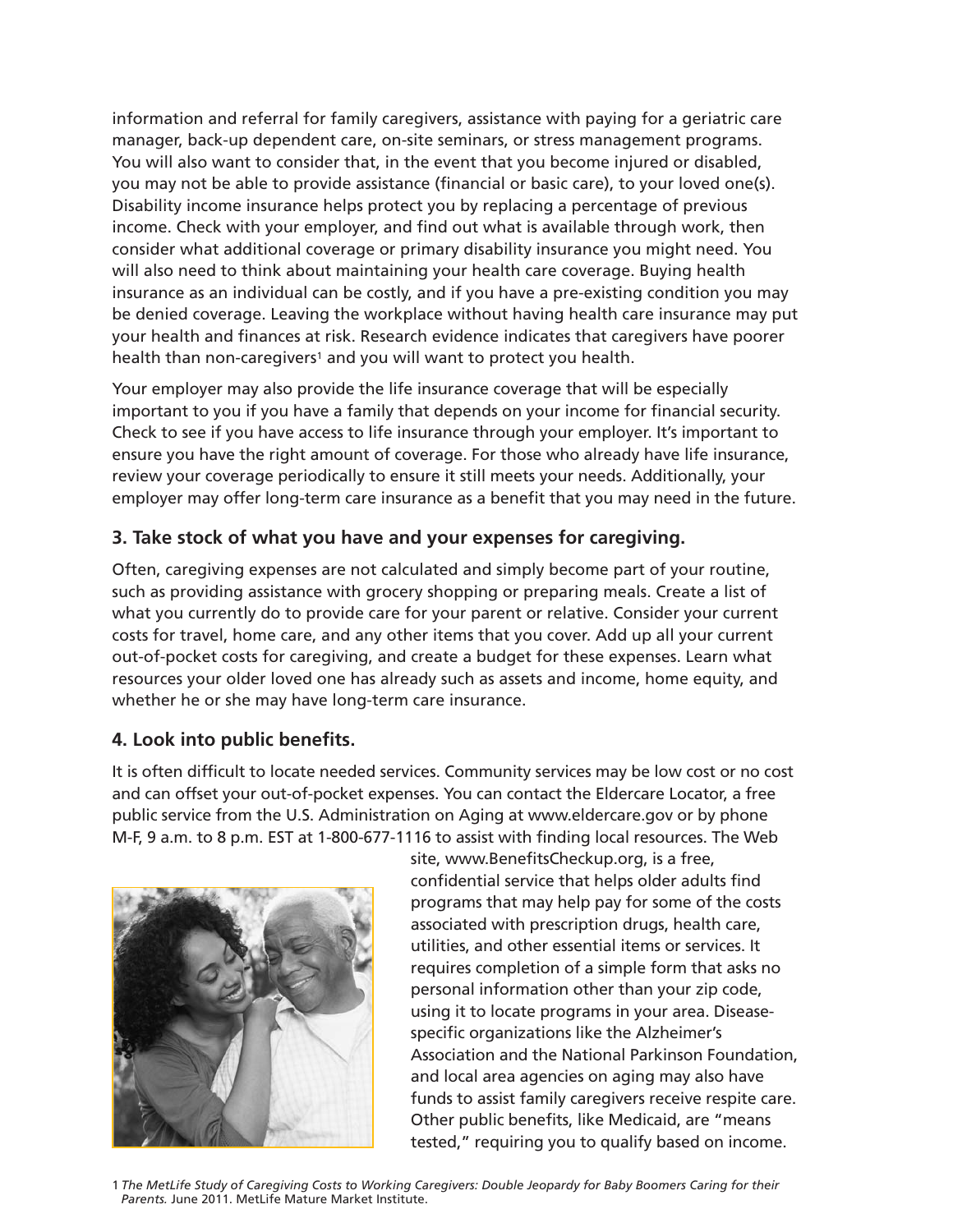information and referral for family caregivers, assistance with paying for a geriatric care manager, back-up dependent care, on-site seminars, or stress management programs. You will also want to consider that, in the event that you become injured or disabled, you may not be able to provide assistance (financial or basic care), to your loved one(s). Disability income insurance helps protect you by replacing a percentage of previous income. Check with your employer, and find out what is available through work, then consider what additional coverage or primary disability insurance you might need. You will also need to think about maintaining your health care coverage. Buying health insurance as an individual can be costly, and if you have a pre-existing condition you may be denied coverage. Leaving the workplace without having health care insurance may put your health and finances at risk. Research evidence indicates that caregivers have poorer health than non-caregivers<sup>1</sup> and you will want to protect you health.

Your employer may also provide the life insurance coverage that will be especially important to you if you have a family that depends on your income for financial security. Check to see if you have access to life insurance through your employer. It's important to ensure you have the right amount of coverage. For those who already have life insurance, review your coverage periodically to ensure it still meets your needs. Additionally, your employer may offer long-term care insurance as a benefit that you may need in the future.

## **3. Take stock of what you have and your expenses for caregiving.**

Often, caregiving expenses are not calculated and simply become part of your routine, such as providing assistance with grocery shopping or preparing meals. Create a list of what you currently do to provide care for your parent or relative. Consider your current costs for travel, home care, and any other items that you cover. Add up all your current out-of-pocket costs for caregiving, and create a budget for these expenses. Learn what resources your older loved one has already such as assets and income, home equity, and whether he or she may have long-term care insurance.

#### **4. Look into public benefits.**

It is often difficult to locate needed services. Community services may be low cost or no cost and can offset your out-of-pocket expenses. You can contact the Eldercare Locator, a free public service from the U.S. Administration on Aging at www.eldercare.gov or by phone M-F, 9 a.m. to 8 p.m. EST at 1-800-677-1116 to assist with finding local resources. The Web



site, www.BenefitsCheckup.org, is a free, confidential service that helps older adults find programs that may help pay for some of the costs associated with prescription drugs, health care, utilities, and other essential items or services. It requires completion of a simple form that asks no personal information other than your zip code, using it to locate programs in your area. Diseasespecific organizations like the Alzheimer's Association and the National Parkinson Foundation, and local area agencies on aging may also have funds to assist family caregivers receive respite care. Other public benefits, like Medicaid, are "means tested," requiring you to qualify based on income.

1 *The MetLife Study of Caregiving Costs to Working Caregivers: Double Jeopardy for Baby Boomers Caring for their Parents.* June 2011. MetLife Mature Market Institute.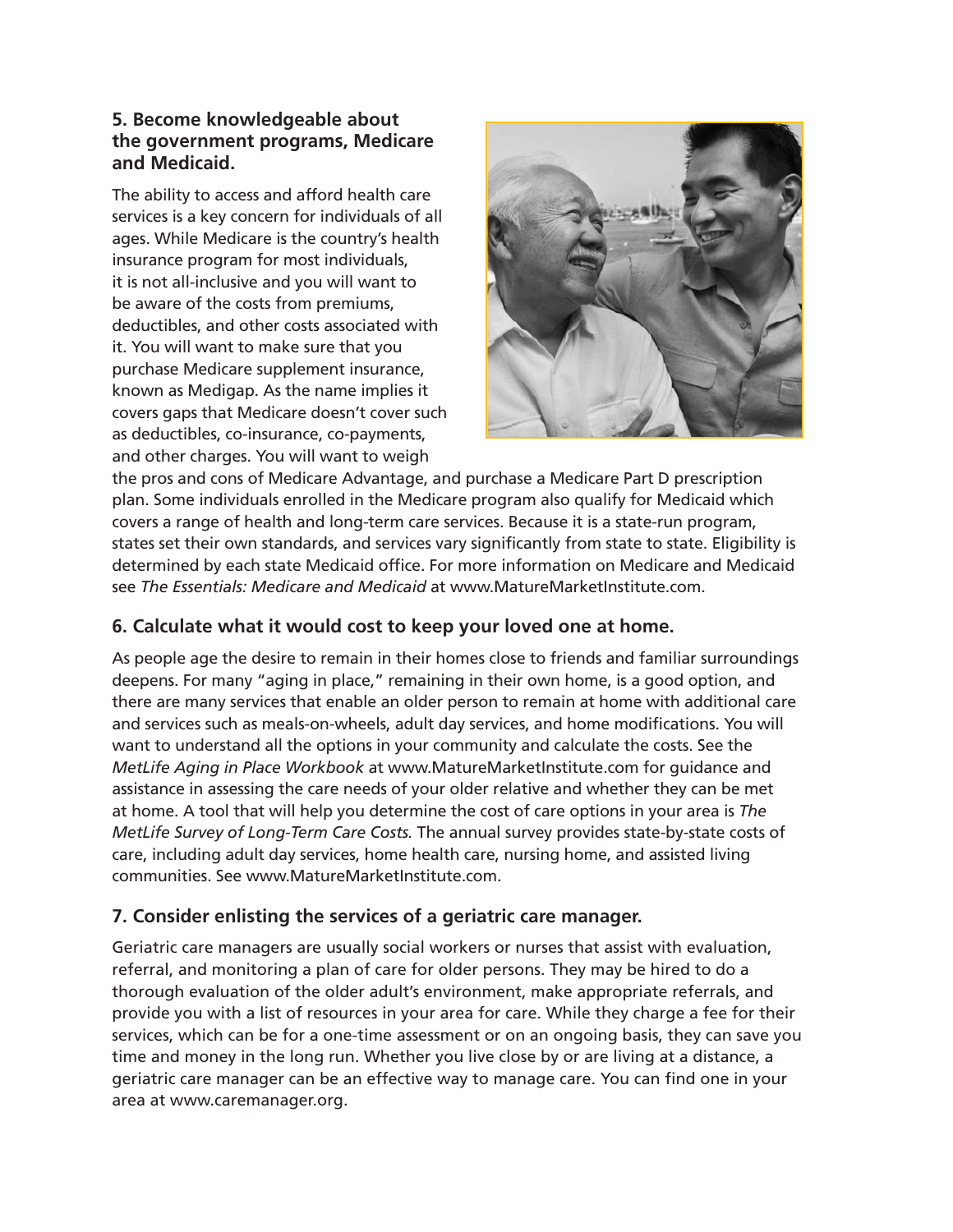#### **5. Become knowledgeable about the government programs, Medicare and Medicaid.**

The ability to access and afford health care services is a key concern for individuals of all ages. While Medicare is the country's health insurance program for most individuals, it is not all-inclusive and you will want to be aware of the costs from premiums, deductibles, and other costs associated with it. You will want to make sure that you purchase Medicare supplement insurance, known as Medigap. As the name implies it covers gaps that Medicare doesn't cover such as deductibles, co-insurance, co-payments, and other charges. You will want to weigh



the pros and cons of Medicare Advantage, and purchase a Medicare Part D prescription plan. Some individuals enrolled in the Medicare program also qualify for Medicaid which covers a range of health and long-term care services. Because it is a state-run program, states set their own standards, and services vary significantly from state to state. Eligibility is determined by each state Medicaid office. For more information on Medicare and Medicaid see *The Essentials: Medicare and Medicaid* at www.MatureMarketInstitute.com.

## **6. Calculate what it would cost to keep your loved one at home.**

As people age the desire to remain in their homes close to friends and familiar surroundings deepens. For many "aging in place," remaining in their own home, is a good option, and there are many services that enable an older person to remain at home with additional care and services such as meals-on-wheels, adult day services, and home modifications. You will want to understand all the options in your community and calculate the costs. See the *MetLife Aging in Place Workbook* at www.MatureMarketInstitute.com for guidance and assistance in assessing the care needs of your older relative and whether they can be met at home. A tool that will help you determine the cost of care options in your area is *The MetLife Survey of Long-Term Care Costs.* The annual survey provides state-by-state costs of care, including adult day services, home health care, nursing home, and assisted living communities. See www.MatureMarketInstitute.com.

## **7. Consider enlisting the services of a geriatric care manager.**

Geriatric care managers are usually social workers or nurses that assist with evaluation, referral, and monitoring a plan of care for older persons. They may be hired to do a thorough evaluation of the older adult's environment, make appropriate referrals, and provide you with a list of resources in your area for care. While they charge a fee for their services, which can be for a one-time assessment or on an ongoing basis, they can save you time and money in the long run. Whether you live close by or are living at a distance, a geriatric care manager can be an effective way to manage care. You can find one in your area at www.caremanager.org.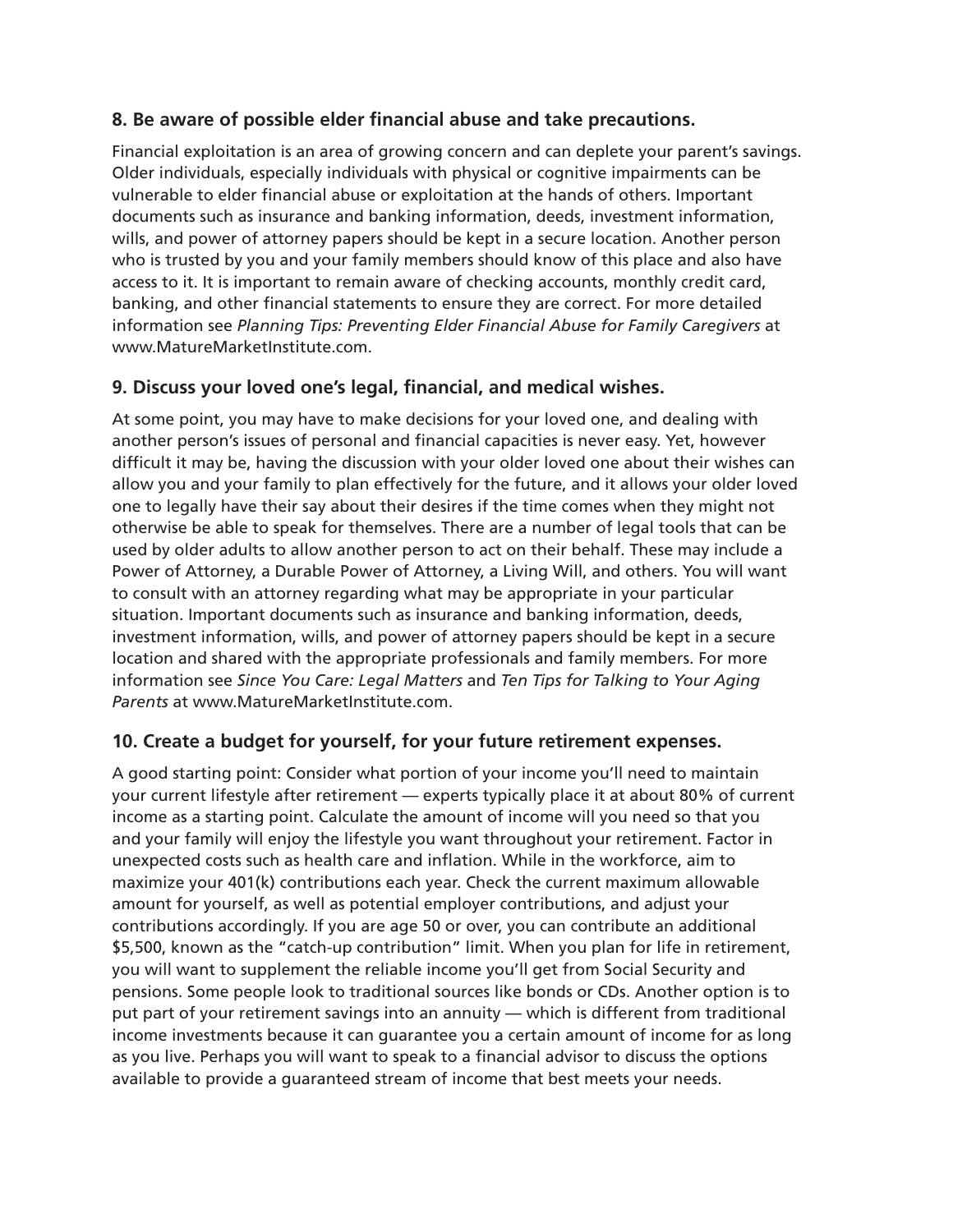## **8. Be aware of possible elder financial abuse and take precautions.**

Financial exploitation is an area of growing concern and can deplete your parent's savings. Older individuals, especially individuals with physical or cognitive impairments can be vulnerable to elder financial abuse or exploitation at the hands of others. Important documents such as insurance and banking information, deeds, investment information, wills, and power of attorney papers should be kept in a secure location. Another person who is trusted by you and your family members should know of this place and also have access to it. It is important to remain aware of checking accounts, monthly credit card, banking, and other financial statements to ensure they are correct. For more detailed information see *Planning Tips: Preventing Elder Financial Abuse for Family Caregivers* at www.MatureMarketInstitute.com.

## **9. Discuss your loved one's legal, financial, and medical wishes.**

At some point, you may have to make decisions for your loved one, and dealing with another person's issues of personal and financial capacities is never easy. Yet, however difficult it may be, having the discussion with your older loved one about their wishes can allow you and your family to plan effectively for the future, and it allows your older loved one to legally have their say about their desires if the time comes when they might not otherwise be able to speak for themselves. There are a number of legal tools that can be used by older adults to allow another person to act on their behalf. These may include a Power of Attorney, a Durable Power of Attorney, a Living Will, and others. You will want to consult with an attorney regarding what may be appropriate in your particular situation. Important documents such as insurance and banking information, deeds, investment information, wills, and power of attorney papers should be kept in a secure location and shared with the appropriate professionals and family members. For more information see *Since You Care: Legal Matters* and *Ten Tips for Talking to Your Aging Parents* at www.MatureMarketInstitute.com.

## **10. Create a budget for yourself, for your future retirement expenses.**

A good starting point: Consider what portion of your income you'll need to maintain your current lifestyle after retirement — experts typically place it at about 80% of current income as a starting point. Calculate the amount of income will you need so that you and your family will enjoy the lifestyle you want throughout your retirement. Factor in unexpected costs such as health care and inflation. While in the workforce, aim to maximize your 401(k) contributions each year. Check the current maximum allowable amount for yourself, as well as potential employer contributions, and adjust your contributions accordingly. If you are age 50 or over, you can contribute an additional \$5,500, known as the "catch-up contribution" limit. When you plan for life in retirement, you will want to supplement the reliable income you'll get from Social Security and pensions. Some people look to traditional sources like bonds or CDs. Another option is to put part of your retirement savings into an annuity — which is different from traditional income investments because it can guarantee you a certain amount of income for as long as you live. Perhaps you will want to speak to a financial advisor to discuss the options available to provide a guaranteed stream of income that best meets your needs.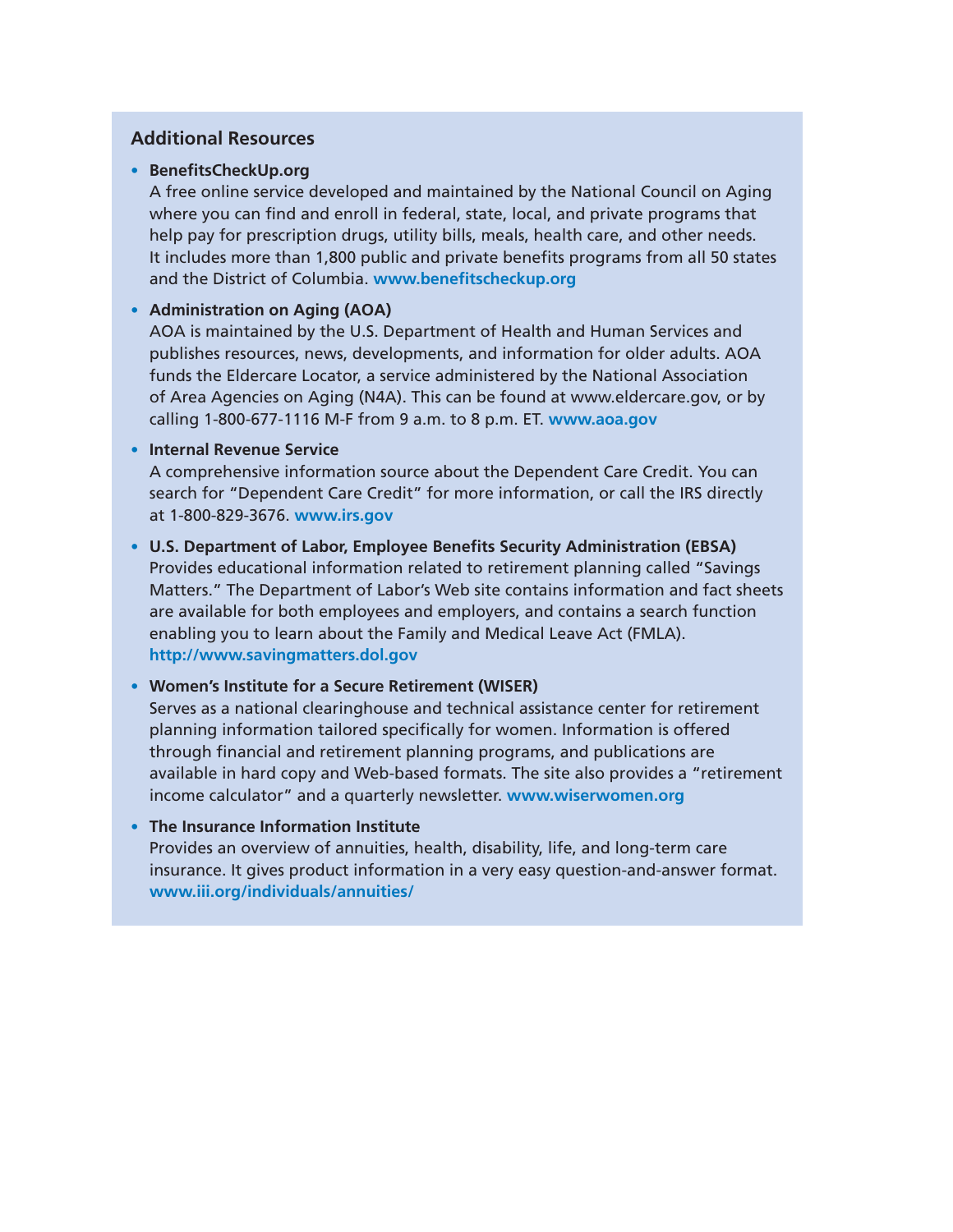#### **Additional Resources**

#### • **BenefitsCheckUp.org**

A free online service developed and maintained by the National Council on Aging where you can find and enroll in federal, state, local, and private programs that help pay for prescription drugs, utility bills, meals, health care, and other needs. It includes more than 1,800 public and private benefits programs from all 50 states and the District of Columbia. **www.benefitscheckup.org**

#### • **Administration on Aging (AOA)**

AOA is maintained by the U.S. Department of Health and Human Services and publishes resources, news, developments, and information for older adults. AOA funds the Eldercare Locator, a service administered by the National Association of Area Agencies on Aging (N4A). This can be found at www.eldercare.gov, or by calling 1-800-677-1116 M-F from 9 a.m. to 8 p.m. ET. **www.aoa.gov**

#### • **Internal Revenue Service**

A comprehensive information source about the Dependent Care Credit. You can search for "Dependent Care Credit" for more information, or call the IRS directly at 1-800-829-3676. **www.irs.gov**

• **U.S. Department of Labor, Employee Benefits Security Administration (EBSA)**  Provides educational information related to retirement planning called "Savings Matters." The Department of Labor's Web site contains information and fact sheets are available for both employees and employers, and contains a search function enabling you to learn about the Family and Medical Leave Act (FMLA). **http://www.savingmatters.dol.gov**

#### • **Women's Institute for a Secure Retirement (WISER)**

Serves as a national clearinghouse and technical assistance center for retirement planning information tailored specifically for women. Information is offered through financial and retirement planning programs, and publications are available in hard copy and Web-based formats. The site also provides a "retirement income calculator" and a quarterly newsletter. **www.wiserwomen.org**

#### • **The Insurance Information Institute**

Provides an overview of annuities, health, disability, life, and long-term care insurance. It gives product information in a very easy question-and-answer format. **www.iii.org/individuals/annuities/**